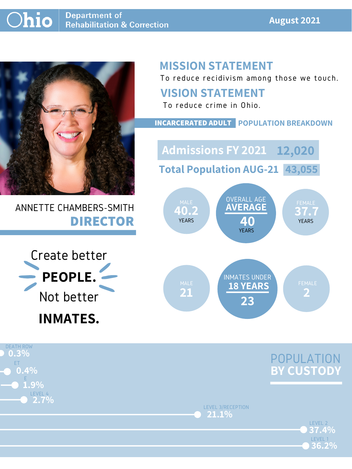#### **August 2021**

ANNETTE CHAMBERS-SMITH **DIRECTOR**

# **MISSION STATEMENT**

To reduce recidivism among those we touch.

LEVEL 1

**36.2%**







#### **VISION STATEMENT**

To reduce crime in Ohio.



#### **INCARCERATED ADULT POPULATION BREAKDOWN**

**Total Population AUG-21 43,055**

**Admissions FY 2021 12,020**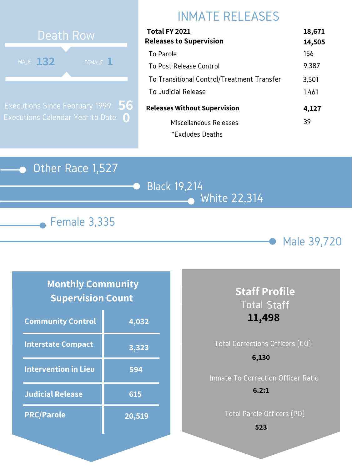#### Other Race 1,527

Black 19,214 White 22,314





# INMATE RELEASES



Executions Since February 1999 Executions Calendar Year to Date **0 56**

### **Monthly Community Supervision Count**

| Total FY 2021                              | 18,671 |
|--------------------------------------------|--------|
| <b>Releases to Supervision</b>             | 14,505 |
| To Parole                                  | 156    |
| To Post Release Control                    | 9,387  |
| To Transitional Control/Treatment Transfer | 3,501  |
| To Judicial Release                        | 1,461  |
| <b>Releases Without Supervision</b>        | 4,127  |
| Miscellaneous Releases                     | 39     |
| *Excludes Deaths                           |        |

| <b>Community Control</b>    | 4,032  |
|-----------------------------|--------|
| <b>Interstate Compact</b>   | 3,323  |
| <b>Intervention in Lieu</b> | 594    |
| <b>Judicial Release</b>     | 615    |
| <b>PRC/Parole</b>           | 20,519 |

# Total Corrections Officers (CO) Inmate To Correction Officer Ratio **6,130**

## **Staff Profile** Total Staff **11,498**

Total Parole Officers (PO)

#### **6.2:1**

**523**